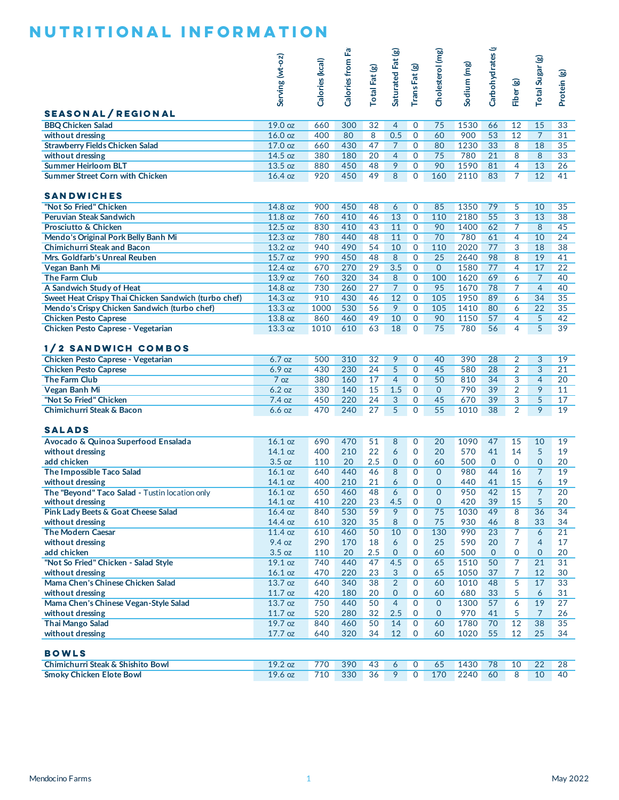|                                                                                                                                                                                                                                                                                                                                                                                                                                                                                                                            | Serving (wt-oz)    | Calories (kcal) | Calories from Fat | Total Fat (g)         | Saturated Fat (g)   | TransFat (g)                 | Cholesterol (mg)        | Sodium (mg)  | Carbohydrates (g | Fiber (g)           | Total Sugar (g)     | Protein (g)                                                                                   |
|----------------------------------------------------------------------------------------------------------------------------------------------------------------------------------------------------------------------------------------------------------------------------------------------------------------------------------------------------------------------------------------------------------------------------------------------------------------------------------------------------------------------------|--------------------|-----------------|-------------------|-----------------------|---------------------|------------------------------|-------------------------|--------------|------------------|---------------------|---------------------|-----------------------------------------------------------------------------------------------|
| <b>SEASONAL/REGIONAL</b><br><b>BBQ Chicken Salad</b>                                                                                                                                                                                                                                                                                                                                                                                                                                                                       | 19.0 oz            | 660             | 300               | 32                    | $\overline{4}$      | $\mathbf 0$                  | 75                      | 1530         | 66               | 12                  | 15                  | 33                                                                                            |
| without dressing                                                                                                                                                                                                                                                                                                                                                                                                                                                                                                           | 16.0 oz            | 400             | 80                | $\overline{8}$        | 0.5                 | $\overline{0}$               | 60                      | 900          | 53               | 12                  | $\overline{7}$      | 31                                                                                            |
| <b>Strawberry Fields Chicken Salad</b>                                                                                                                                                                                                                                                                                                                                                                                                                                                                                     | $17.0$ oz          | 660             | 430               | 47                    | $\overline{7}$      | $\mathbf 0$                  | 80                      | 1230         | 33               | 8                   | 18                  | 35                                                                                            |
| without dressing                                                                                                                                                                                                                                                                                                                                                                                                                                                                                                           | 14.5 oz            | 380             | 180               | 20                    | $\overline{4}$      | $\mathbf{O}$                 | 75                      | 780          | $\overline{21}$  | 8                   | 8                   | 33                                                                                            |
| <b>Summer Heirloom BLT</b>                                                                                                                                                                                                                                                                                                                                                                                                                                                                                                 | 13.5 oz            | 880             | 450               | 48                    | 9                   | $\mathbf{O}$                 | 90                      | 1590         | 81               | 4                   | 13                  | 26                                                                                            |
| <b>Summer Street Corn with Chicken</b><br><b>SANDWICHES</b>                                                                                                                                                                                                                                                                                                                                                                                                                                                                | 16.4 oz            | 920             | 450               | 49                    | 8                   | $\Omega$                     | 160                     | 2110         | 83               | $\overline{7}$      | 12                  | 41                                                                                            |
| "Not So Fried" Chicken                                                                                                                                                                                                                                                                                                                                                                                                                                                                                                     | 14.8 oz            | 900             | 450               | 48                    | 6                   |                              | 85                      | 1350         | 79               |                     | 10                  | 35                                                                                            |
| Peruvian Steak Sandwich                                                                                                                                                                                                                                                                                                                                                                                                                                                                                                    | 11.8 oz            | 760             | 410               | 46                    | 13                  | $\mathbf 0$<br>$\mathbf{O}$  | 110                     | 2180         | 55               | 5<br>$\overline{3}$ | 13                  | 38                                                                                            |
| Prosciutto & Chicken                                                                                                                                                                                                                                                                                                                                                                                                                                                                                                       | 12.5 oz            | 830             | 410               | 43                    | 11                  | $\mathbf 0$                  | 90                      | 1400         | 62               | 7                   | 8                   | 45                                                                                            |
| Mendo's Original Pork Belly Banh Mi                                                                                                                                                                                                                                                                                                                                                                                                                                                                                        | 12.3 oz            | 780             | 440               | 48                    | 11                  | $\mathbf 0$                  | 70                      | 780          | 61               | $\overline{4}$      | 10                  | 24                                                                                            |
| <b>Chimichurri Steak and Bacon</b>                                                                                                                                                                                                                                                                                                                                                                                                                                                                                         | 13.2 oz            | 940             | 490               | 54                    | 10                  | $\mathbf{0}$                 | 110                     | 2020         | 77               | 3                   | 18                  | 38                                                                                            |
| Mrs. Goldfarb's Unreal Reuben                                                                                                                                                                                                                                                                                                                                                                                                                                                                                              | 15.7 oz            | 990             | 450               | 48                    | 8                   | $\mathbf{O}$                 | 25                      | 2640         | 98               | 8                   | 19                  | 41                                                                                            |
| Vegan Banh Mi                                                                                                                                                                                                                                                                                                                                                                                                                                                                                                              | 12.4 oz            | 670             | 270               | 29                    | 3.5                 | $\mathbf 0$                  | $\Omega$                | 1580         | 77               | 4                   | 17                  | $\overline{22}$                                                                               |
| <b>The Farm Club</b>                                                                                                                                                                                                                                                                                                                                                                                                                                                                                                       | 13.9 oz            | 760             | 320               | 34                    | 8                   | $\mathbf{O}$                 | 100                     | 1620         | 69               | 6                   | $\overline{7}$      | 40                                                                                            |
| A Sandwich Study of Heat                                                                                                                                                                                                                                                                                                                                                                                                                                                                                                   | 14.8 oz            | 730             | 260               | 27                    | $\overline{7}$      | $\mathbf{O}$                 | 95                      | 1670         | 78               | 7                   | $\overline{4}$      | 40                                                                                            |
| Sweet Heat Crispy Thai Chicken Sandwich (turbo chef)                                                                                                                                                                                                                                                                                                                                                                                                                                                                       | 14.3 oz            | 910             | 430               | 46                    | 12                  | $\mathbf 0$                  | 105                     | 1950         | 89               | 6                   | 34                  | 35                                                                                            |
| Mendo's Crispy Chicken Sandwich (turbo chef)                                                                                                                                                                                                                                                                                                                                                                                                                                                                               | 13.3 oz            | 1000            | 530               | 56                    | 9                   | $\mathbf{O}$                 | 105                     | 1410         | 80               | 6                   | 22                  | 35                                                                                            |
| <b>Chicken Pesto Caprese</b>                                                                                                                                                                                                                                                                                                                                                                                                                                                                                               | 13.8 oz            | 860             | 460               | 49                    | 10                  | $\mathbf{O}$                 | 90                      | 1150         | 57               | $\overline{4}$      | 5                   | 42                                                                                            |
| Chicken Pesto Caprese - Vegetarian<br>1/2 SANDWICH COMBOS                                                                                                                                                                                                                                                                                                                                                                                                                                                                  | 13.3 oz            | 1010            | 610               | 63                    | 18                  | $\Omega$                     | 75                      | 780          | 56               | 4                   | 5                   | 39                                                                                            |
| Chicken Pesto Caprese - Vegetarian                                                                                                                                                                                                                                                                                                                                                                                                                                                                                         | 6.7 oz             | 500             | 310               | 32                    | 9                   | $\mathbf{0}$                 | 40                      | 390          | 28               | 2                   | 3                   | 19                                                                                            |
|                                                                                                                                                                                                                                                                                                                                                                                                                                                                                                                            |                    | 430             | 230               | 24                    | 5                   | $\mathbf{O}$                 | 45                      | 580          | 28               | $\overline{2}$      | 3                   | $\overline{21}$                                                                               |
|                                                                                                                                                                                                                                                                                                                                                                                                                                                                                                                            | 6.9 oz             |                 |                   |                       |                     |                              |                         |              |                  |                     |                     |                                                                                               |
|                                                                                                                                                                                                                                                                                                                                                                                                                                                                                                                            | 7 oz               | 380             | 160               | 17                    | $\overline{4}$      | 0                            | 50                      | 810          | 34               | 3                   | $\overline{4}$      |                                                                                               |
| <b>Chicken Pesto Caprese</b><br>The Farm Club<br>Vegan Banh Mi                                                                                                                                                                                                                                                                                                                                                                                                                                                             | 6.2 oz             | 330             | 140               | 15                    | 1.5                 | $\mathbf{0}$                 | $\overline{0}$          | 790          | 39               | $\overline{2}$      | 9                   |                                                                                               |
| "Not So Fried" Chicken<br>Chimichurri Steak & Bacon                                                                                                                                                                                                                                                                                                                                                                                                                                                                        | 7.4 oz<br>6.6 oz   | 450<br>470      | 220<br>240        | 24<br>$\overline{27}$ | 3<br>$\overline{5}$ | $\mathbf{O}$<br>$\Omega$     | 45<br>$\overline{55}$   | 670<br>1010  | 39<br>38         | 3<br>$\overline{2}$ | 5<br>9              |                                                                                               |
|                                                                                                                                                                                                                                                                                                                                                                                                                                                                                                                            | 16.1 oz<br>14.1 oz | 690<br>400      | 470<br>210        | 51<br>22              | 8<br>6              | $\mathbf{0}$<br>$\mathbf{O}$ | 20<br>20                | 1090<br>570  | 47<br>41         | 15<br>14            | 10<br>5             | 20<br>11<br>17<br>19<br>19<br>19                                                              |
|                                                                                                                                                                                                                                                                                                                                                                                                                                                                                                                            | 3.5 oz             | 110             | 20                | 2.5                   | $\overline{0}$      | $\mathbf 0$                  | 60                      | 500          | $\mathbf{0}$     | $\mathbf{O}$        | $\mathbf{0}$        | 20                                                                                            |
|                                                                                                                                                                                                                                                                                                                                                                                                                                                                                                                            | 16.1 oz            | 640             | 440               | 46                    | 8                   | $\overline{0}$               | $\mathbf{0}$            | 980          | 44               | 16                  | $\overline{7}$      |                                                                                               |
|                                                                                                                                                                                                                                                                                                                                                                                                                                                                                                                            | 14.1 oz            | 400             | 210               | 21                    | 6                   | $\mathbf{O}$                 | $\mathbf{O}$            | 440          | 41               | 15                  | 6                   |                                                                                               |
|                                                                                                                                                                                                                                                                                                                                                                                                                                                                                                                            | 16.1 oz<br>14.1 oz | 650<br>410      | 460<br>220        | 48<br>23              | 6<br>4.5            | $\overline{0}$<br>0          | $\Omega$<br>$\mathbf 0$ | 950<br>420   | 42<br>39         | 15<br>15            | $\overline{7}$<br>5 |                                                                                               |
|                                                                                                                                                                                                                                                                                                                                                                                                                                                                                                                            | 16.4 oz            | 840             | 530               | 59                    | 9                   | $\mathbf 0$                  | 75                      | 1030         | 49               | 8                   | 36                  |                                                                                               |
|                                                                                                                                                                                                                                                                                                                                                                                                                                                                                                                            | 14.4 oz            | 610             | 320               | 35                    | 8                   | 0                            | 75                      | 930          | 46               | 8                   | 33                  |                                                                                               |
|                                                                                                                                                                                                                                                                                                                                                                                                                                                                                                                            | 11.4 oz            | 610             | 460               | 50                    | 10                  | $\overline{0}$               | 130                     | 990          | $\overline{23}$  | 7                   | 6                   |                                                                                               |
|                                                                                                                                                                                                                                                                                                                                                                                                                                                                                                                            | 9.4 oz             | 290             | 170               | 18                    | 6                   | 0                            | 25                      | 590          | 20               | 7                   | 4                   |                                                                                               |
|                                                                                                                                                                                                                                                                                                                                                                                                                                                                                                                            | 3.5 oz             | 110             | 20                | 2.5                   | $\mathbf{O}$        | $\mathbf 0$                  | 60                      | 500          | $\mathbf{0}$     | 0                   | $\mathbf 0$         |                                                                                               |
|                                                                                                                                                                                                                                                                                                                                                                                                                                                                                                                            | 19.1 oz            | 740<br>470      | 440               | 47                    | 4.5                 | $\mathbf 0$<br>0             | 65                      | 1510         | 50               | 7<br>7              | $\overline{21}$     |                                                                                               |
|                                                                                                                                                                                                                                                                                                                                                                                                                                                                                                                            | 16.1 oz<br>13.7 oz | 640             | 220<br>340        | 23<br>38              | 3<br>$\overline{2}$ | $\mathbf 0$                  | 65<br>60                | 1050<br>1010 | 37<br>48         | 5                   | 12<br>17            |                                                                                               |
|                                                                                                                                                                                                                                                                                                                                                                                                                                                                                                                            | $11.7$ oz          | 420             | 180               | 20                    | $\overline{0}$      | 0                            | 60                      | 680          | 33               | 5                   | 6                   |                                                                                               |
|                                                                                                                                                                                                                                                                                                                                                                                                                                                                                                                            | 13.7 oz            | 750             | 440               | 50                    | $\overline{4}$      | $\mathbf 0$                  | $\overline{0}$          | 1300         | 57               | 6                   | 19                  | 19<br>19<br>$\overline{20}$<br>20<br>34<br>34<br>21<br>17<br>20<br>31<br>30<br>33<br>31<br>27 |
| <b>SALADS</b><br>Avocado & Quinoa Superfood Ensalada<br>without dressing<br>add chicken<br>The Impossible Taco Salad<br>without dressing<br>The "Beyond" Taco Salad - Tustin location only<br>without dressing<br>Pink Lady Beets & Goat Cheese Salad<br>without dressing<br><b>The Modern Caesar</b><br>without dressing<br>add chicken<br>"Not So Fried" Chicken - Salad Style<br>without dressing<br>Mama Chen's Chinese Chicken Salad<br>without dressing<br>Mama Chen's Chinese Vegan-Style Salad<br>without dressing | $11.7$ oz          | 520             | 280               | 32                    | 2.5                 | $\mathbf 0$                  | $\overline{0}$          | 970          | 41               | 5                   | $\overline{7}$      | 26                                                                                            |
| <b>Thai Mango Salad</b>                                                                                                                                                                                                                                                                                                                                                                                                                                                                                                    | 19.7 oz            | 840             | 460               | 50                    | 14                  | $\overline{0}$               | 60                      | 1780         | 70               | 12                  | 38                  |                                                                                               |
| without dressing                                                                                                                                                                                                                                                                                                                                                                                                                                                                                                           | $17.7$ oz          | 640             | 320               | 34                    | 12                  | 0                            | 60                      | 1020         | 55               | 12                  | 25                  |                                                                                               |
| <b>BOWLS</b><br>Chimichurri Steak & Shishito Bowl                                                                                                                                                                                                                                                                                                                                                                                                                                                                          | 19.2 oz            | 770             | 390               | 43                    | 6                   | 0                            | 65                      | 1430         | 78               | 10                  | 22                  | 35<br>34<br>28                                                                                |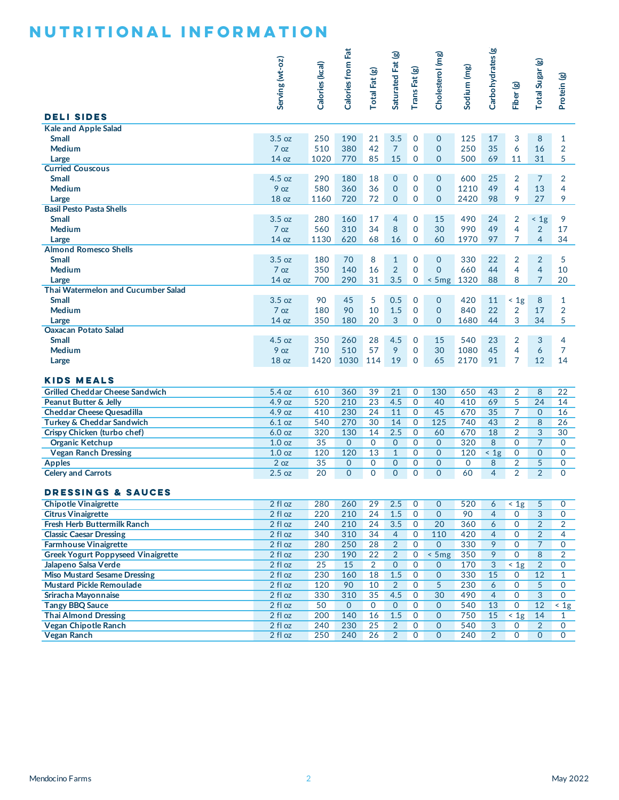|                                                                | Serving (wt-oz)           | Calories (kcal) | Calories from Fat   | Total Fat (g)      | Saturated Fat (g)                | TransFat (g)                | Cholesterol (mg)             | Sodium (mg)        | Carbohydrates (g) | Fiber (g)                        | Total Sugar (g)                  | Protein (g)                      |
|----------------------------------------------------------------|---------------------------|-----------------|---------------------|--------------------|----------------------------------|-----------------------------|------------------------------|--------------------|-------------------|----------------------------------|----------------------------------|----------------------------------|
| <b>DELI SIDES</b><br><b>Kale and Apple Salad</b>               |                           |                 |                     |                    |                                  |                             |                              |                    |                   |                                  |                                  |                                  |
| <b>Small</b>                                                   | 3.5 oz                    | 250             | 190                 | 21                 | 3.5                              | $\Omega$                    | $\overline{0}$               | 125                | 17                | 3                                | 8                                | $\mathbf{1}$                     |
| Medium                                                         | 7 oz                      | 510             | 380                 | 42                 | $\overline{7}$                   | $\mathbf{O}$                | $\overline{0}$               | 250                | 35                | 6                                | 16                               | $\overline{2}$                   |
| Large                                                          | 14 <sub>oz</sub>          | 1020            | 770                 | 85                 | 15                               | $\mathbf{O}$                | $\overline{0}$               | 500                | 69                | 11                               | 31                               | 5                                |
| <b>Curried Couscous</b>                                        |                           |                 |                     |                    |                                  |                             |                              |                    |                   |                                  |                                  |                                  |
| <b>Small</b><br>Medium                                         | 4.5 oz<br>9 <sub>oz</sub> | 290<br>580      | 180<br>360          | 18<br>36           | $\overline{0}$<br>$\mathbf{O}$   | $\Omega$<br>$\mathbf{O}$    | $\mathbf{0}$<br>$\Omega$     | 600<br>1210        | 25<br>49          | $\overline{2}$<br>$\overline{4}$ | $\overline{7}$<br>13             | $\overline{2}$<br>$\overline{4}$ |
| Large                                                          | 18 <sub>oz</sub>          | 1160            | 720                 | 72                 | $\Omega$                         | $\Omega$                    | $\Omega$                     | 2420               | 98                | 9                                | 27                               | 9                                |
| <b>Basil Pesto Pasta Shells</b>                                |                           |                 |                     |                    |                                  |                             |                              |                    |                   |                                  |                                  |                                  |
| <b>Small</b>                                                   | 3.5 oz                    | 280             | 160                 | 17                 | $\overline{4}$                   | $\Omega$                    | 15                           | 490                | 24                | 2                                | $\leq 1g$                        | 9                                |
| Medium                                                         | 7 oz                      | 560             | 310                 | 34                 | 8                                | $\mathbf{O}$                | 30                           | 990                | 49                | $\overline{4}$                   | $\overline{2}$                   | 17                               |
| Large                                                          | 14 <sub>oz</sub>          | 1130            | 620                 | 68                 | 16                               | $\mathbf{O}$                | 60                           | 1970               | 97                | $\overline{7}$                   | $\overline{4}$                   | 34                               |
| <b>Almond Romesco Shells</b>                                   |                           |                 |                     |                    |                                  |                             |                              |                    |                   |                                  |                                  |                                  |
| <b>Small</b>                                                   | 3.5 oz                    | 180             | 70                  | 8                  | $\mathbf{1}$<br>$\overline{2}$   | $\Omega$<br>$\overline{0}$  | $\mathbf{0}$<br>$\Omega$     | 330                | 22                | $\overline{2}$<br>4              | $\overline{2}$<br>$\overline{4}$ | 5                                |
| Medium                                                         | 7 oz<br>14 <sub>oz</sub>  | 350<br>700      | 140<br>290          | 16<br>31           | 3.5                              | 0                           | $<$ 5 mg                     | 660<br>1320        | 44<br>88          | 8                                | $\overline{7}$                   | 10<br>20                         |
| Large<br>Thai Watermelon and Cucumber Salad                    |                           |                 |                     |                    |                                  |                             |                              |                    |                   |                                  |                                  |                                  |
| <b>Small</b>                                                   | 3.5 oz                    | 90              | 45                  | 5                  | 0.5                              | $\mathbf 0$                 | $\overline{0}$               | 420                | 11                | $\leq 1g$                        | 8                                | $\mathbf{1}$                     |
| Medium                                                         | 7 oz                      | 180             | 90                  | 10                 | 1.5                              | $\mathbf{O}$                | $\Omega$                     | 840                | 22                | 2                                | 17                               | $\overline{2}$                   |
| Large                                                          | 14 <sub>oz</sub>          | 350             | 180                 | 20                 | 3                                | $\Omega$                    | $\Omega$                     | 1680               | 44                | 3                                | 34                               | 5                                |
| <b>Oaxacan Potato Salad</b>                                    |                           |                 |                     |                    |                                  |                             |                              |                    |                   |                                  |                                  |                                  |
| <b>Small</b>                                                   | 4.5 oz                    | 350             | 260                 | 28                 | 4.5                              | $\Omega$                    | 15                           | 540                | 23                | $\overline{2}$                   | 3                                | 4                                |
| Medium                                                         | 9 oz                      | 710             | 510                 | 57                 | 9                                | $\mathbf{O}$                | 30                           | 1080               | 45                | 4                                | 6                                | $\overline{7}$                   |
| Large                                                          | 18 <sub>oz</sub>          | 1420            | 1030                | 114                | 19                               | $\overline{0}$              | 65                           | 2170               | 91                | $\overline{7}$                   | 12                               | 14                               |
| <b>KIDS MEALS</b>                                              |                           |                 |                     |                    |                                  |                             |                              |                    |                   |                                  |                                  |                                  |
| <b>Grilled Cheddar Cheese Sandwich</b>                         | 5.4 oz                    | 610             | 360                 | 39                 | $\overline{21}$                  | $\mathbf{0}$                | 130                          | 650                | 43                | 2                                | 8                                | $\overline{22}$                  |
| <b>Peanut Butter &amp; Jelly</b>                               | 4.9 oz                    | 520             | 210                 | 23                 | 4.5                              | $\mathbf 0$                 | 40                           | 410                | 69                | $\overline{5}$                   | 24                               | 14                               |
| <b>Cheddar Cheese Quesadilla</b>                               | 4.9 oz                    | 410             | 230                 | 24                 | 11                               | $\mathbf 0$                 | 45                           | 670                | 35                | 7                                | $\mathbf{0}$                     | 16                               |
| Turkey & Cheddar Sandwich                                      | 6.1 oz                    | 540             | 270                 | 30                 | 14                               | $\mathbf{O}$                | 125                          | 740                | 43                | 2                                | 8                                | $\overline{26}$                  |
| Crispy Chicken (turbo chef)                                    | 6.0 oz                    | 320             | 130                 | 14                 | 2.5                              | $\mathbf{0}$                | 60                           | 670                | 18                | $\overline{2}$                   | 3                                | 30                               |
| <b>Organic Ketchup</b>                                         | 1.0 <sub>oz</sub>         | 35              | $\mathbf{0}$        | $\overline{0}$     | $\overline{0}$                   | $\mathbf 0$                 | $\overline{0}$               | 320                | 8                 | $\Omega$                         | $\overline{7}$                   | $\mathbf 0$                      |
| <b>Vegan Ranch Dressing</b><br><b>Apples</b>                   | 1.0 <sub>oz</sub><br>2 oz | 120<br>35       | 120<br>$\mathbf{0}$ | 13<br>$\mathbf{O}$ | $\mathbf{1}$<br>$\overline{0}$   | $\mathbf 0$<br>$\mathbf{O}$ | $\mathbf{0}$<br>$\mathbf{O}$ | 120<br>$\mathbf 0$ | < 1g<br>8         | 0<br>2                           | $\mathbf{0}$<br>5                | $\Omega$<br>$\mathbf 0$          |
| <b>Celery and Carrots</b>                                      | $2.5$ oz                  | 20              | $\mathbf{0}$        | $\mathbf{O}$       | $\overline{0}$                   | $\overline{0}$              | $\overline{0}$               | 60                 | 4                 | 2                                | $\overline{2}$                   | $\Omega$                         |
|                                                                |                           |                 |                     |                    |                                  |                             |                              |                    |                   |                                  |                                  |                                  |
| <b>DRESSINGS &amp; SAUCES</b>                                  |                           |                 |                     |                    |                                  |                             |                              |                    |                   |                                  |                                  |                                  |
| <b>Chipotle Vinaigrette</b>                                    | 2 fl oz                   | 280             | 260                 | 29                 | 2.5                              | $\mathbf 0$                 | $\mathbf 0$                  | 520                | 6                 | $\overline{5}$                   | $\overline{5}$                   | 0                                |
| <b>Citrus Vinaigrette</b>                                      | 2 fl oz                   | 220             | 210                 | 24                 | 1.5                              | $\overline{0}$              | $\overline{0}$               | 90                 | $\overline{4}$    | $\mathsf{O}$                     | $\overline{3}$                   | $\mathbf{0}$                     |
| Fresh Herb Buttermilk Ranch                                    | $2$ fl oz                 | 240             | 210                 | 24                 | 3.5                              | $\mathbf 0$                 | 20                           | 360                | 6                 | $\mathbf 0$                      | $\overline{2}$                   | $\overline{2}$                   |
| <b>Classic Caesar Dressing</b><br><b>Farmhouse Vinaigrette</b> | 2 fl oz                   | 340             | 310                 | 34                 | $\overline{4}$                   | 0                           | 110                          | 420                | 4                 | 0                                | $\overline{2}$                   | 4                                |
| <b>Greek Yogurt Poppyseed Vinaigrette</b>                      | 2 fl oz<br>$2$ fl oz      | 280<br>230      | 250<br>190          | 28<br>22           | $\overline{2}$<br>$\overline{2}$ | $\overline{0}$<br>0         | $\overline{0}$<br>5mg        | 330<br>350         | 9<br>9            | $\mathsf{O}$<br>$\mathbf 0$      | $\overline{7}$<br>8              | $\mathbf 0$<br>$\overline{2}$    |
| Jalapeno Salsa Verde                                           | 2 fl oz                   | 25              | 15                  | $\overline{2}$     | 0                                | 0                           | $\mathbf 0$                  | 170                | 3                 | < 1g                             | $\overline{2}$                   | $\mathbf{O}$                     |
| <b>Miso Mustard Sesame Dressing</b>                            | 2 fl oz                   | 230             | 160                 | 18                 | 1.5                              | $\overline{0}$              | $\overline{0}$               | 330                | 15                | $\overline{0}$                   | 12                               | $\mathbf{1}$                     |
| <b>Mustard Pickle Remoulade</b>                                | $2$ fl oz                 | 120             | 90                  | 10                 | $\overline{2}$                   | $\mathbf 0$                 | $\overline{5}$               | 230                | 6                 | $\mathbf 0$                      | 5                                | $\mathbf{O}$                     |
| Sriracha Mayonnaise                                            | 2 fl oz                   | 330             | 310                 | 35                 | 4.5                              | 0                           | 30                           | 490                | 4                 | 0                                | 3                                | $\mathbf{O}$                     |
| <b>Tangy BBQ Sauce</b>                                         | 2 fl oz                   | 50              | $\overline{0}$      | $\overline{0}$     | $\overline{0}$                   | $\overline{0}$              | $\overline{0}$               | 540                | 13                | $\overline{0}$                   | 12                               | $\overline{5}$                   |
|                                                                | $2$ fl oz                 | 200             | 140                 | 16                 | 1.5                              | $\mathbf 0$                 | $\mathbf{0}$                 | 750                | 15                | $\overline{4}$                   | 14                               | $\mathbf{1}$                     |
| <b>Thai Almond Dressing</b>                                    |                           | 240             | 230                 | 25                 | $\overline{2}$                   | 0                           | $\overline{0}$               | 540                | 3                 | 0                                | $\overline{2}$                   | 0                                |
| <b>Vegan Chipotle Ranch</b><br><b>Vegan Ranch</b>              | 2 fl oz<br>2 fl oz        | 250             | 240                 | 26                 | $\overline{2}$                   | $\overline{0}$              | $\overline{0}$               | 240                | $\overline{2}$    | $\mathbf{O}$                     | $\overline{0}$                   | $\overline{0}$                   |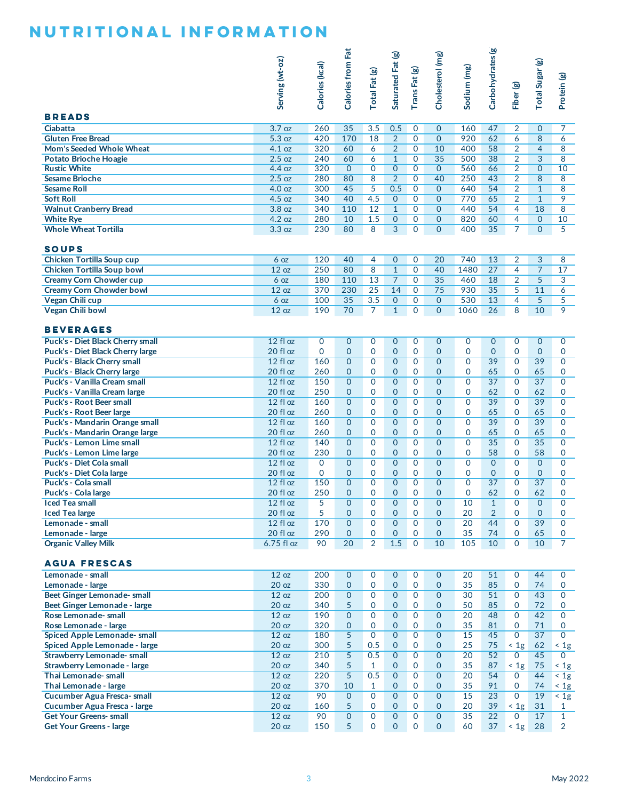|                                                                      | Serving (wt-oz)           | Calories (kcal) | Calories from Fat                | Total Fat (g)               | Saturated Fat (g)                | TransFat (g)                 | Cholesterol (mg)                 | Sodium (mg)                   | Carbohydrates (g)     | Fiber (g)                        | Total Sugar (g)              | Protein (g)                  |
|----------------------------------------------------------------------|---------------------------|-----------------|----------------------------------|-----------------------------|----------------------------------|------------------------------|----------------------------------|-------------------------------|-----------------------|----------------------------------|------------------------------|------------------------------|
| <b>BREADS</b>                                                        |                           |                 |                                  |                             |                                  |                              |                                  |                               |                       |                                  |                              |                              |
| Ciabatta<br><b>Gluten Free Bread</b>                                 | 3.7 oz<br>5.3 oz          | 260<br>420      | $\overline{35}$<br>170           | 3.5<br>18                   | 0.5<br>2                         | $\mathbf{O}$<br>$\mathbf{0}$ | $\overline{0}$<br>$\mathbf{O}$   | 160<br>920                    | 47<br>62              | $\overline{2}$<br>6              | $\mathbf{0}$<br>8            | 7<br>6                       |
| Mom's Seeded Whole Wheat                                             | 4.1 oz                    | 320             | 60                               | 6                           | $\overline{2}$                   | $\mathbf 0$                  | 10                               | 400                           | 58                    | $\overline{2}$                   | $\overline{4}$               | 8                            |
| <b>Potato Brioche Hoagie</b>                                         | 2.5 oz                    | 240             | 60                               | 6                           | $\mathbf{1}$                     | $\mathbf{O}$                 | $\overline{35}$                  | 500                           | $\overline{38}$       | $\overline{2}$                   | 3                            | 8                            |
| <b>Rustic White</b>                                                  | 4.4 oz                    | 320             | $\Omega$                         | $\Omega$                    | $\overline{0}$                   | $\mathbf{O}$                 | $\mathbf{0}$                     | 560                           | 66                    | $\overline{2}$                   | $\mathbf{0}$                 | 10                           |
| <b>Sesame Brioche</b>                                                | $2.5$ oz                  | 280             | 80                               | 8                           | $\overline{2}$                   | $\mathbf{O}$                 | 40                               | 250                           | 43                    | $\overline{2}$                   | 8                            | 8                            |
| <b>Sesame Roll</b><br><b>Soft Roll</b>                               | 4.0 oz<br>4.5 oz          | 300<br>340      | 45<br>40                         | 5<br>4.5                    | 0.5<br>$\overline{0}$            | $\mathbf{O}$<br>$\mathbf 0$  | $\overline{0}$<br>$\mathbf{0}$   | 640<br>770                    | 54<br>65              | $\overline{2}$<br>$\overline{2}$ | $\mathbf{1}$<br>$\mathbf{1}$ | 8<br>9                       |
| <b>Walnut Cranberry Bread</b>                                        | 3.8 oz                    | 340             | 110                              | 12                          | $\mathbf{1}$                     | $\mathbf{O}$                 | $\overline{0}$                   | 440                           | 54                    | 4                                | 18                           | 8                            |
| <b>White Rye</b>                                                     | 4.2 oz                    | 280             | 10                               | 1.5                         | $\overline{0}$                   | $\mathbf{O}$                 | $\overline{0}$                   | 820                           | 60                    | $\overline{4}$                   | $\mathbf{0}$                 | 10                           |
| <b>Whole Wheat Tortilla</b>                                          | 3.3 oz                    | 230             | 80                               | $\overline{8}$              | 3                                | $\mathbf{O}$                 | $\mathbf{O}$                     | 400                           | 35                    | $\overline{7}$                   | $\mathbf{0}$                 | $\overline{5}$               |
| <b>SOUPS</b>                                                         |                           |                 |                                  |                             |                                  |                              |                                  |                               |                       |                                  |                              |                              |
| <b>Chicken Tortilla Soup cup</b>                                     | 6 <sub>oz</sub>           | 120             | 40                               | 4                           | $\overline{0}$                   | $\mathbf 0$                  | 20                               | 740                           | 13                    | 2                                | 3                            | 8                            |
| <b>Chicken Tortilla Soup bowl</b>                                    | 12 oz                     | 250             | 80                               | 8                           | $\mathbf{1}$                     | $\mathbf{O}$                 | 40                               | 1480                          | 27                    | $\overline{4}$                   | $\overline{7}$               | 17                           |
| <b>Creamy Corn Chowder cup</b>                                       | 6 <sub>oz</sub>           | 180             | 110                              | 13                          | $\overline{7}$                   | $\mathbf{O}$                 | $\overline{35}$                  | 460                           | 18                    | $\overline{2}$                   | 5                            | 3                            |
| <b>Creamy Corn Chowder bowl</b>                                      | 12 oz                     | 370<br>100      | 230<br>35                        | $\overline{25}$<br>3.5      | 14<br>$\overline{0}$             | $\mathbf 0$<br>$\mathbf{O}$  | 75<br>$\mathbf{O}$               | 930<br>530                    | 35<br>13              | 5<br>4                           | 11<br>5                      | 6<br>5                       |
| Vegan Chili cup<br><b>Vegan Chili bowl</b>                           | 6 <sub>oz</sub><br>12 oz  | 190             | 70                               | $\overline{7}$              | $\mathbf{1}$                     | 0                            | $\Omega$                         | 1060                          | 26                    | 8                                | 10                           | 9                            |
| <b>BEVERAGES</b>                                                     |                           |                 |                                  |                             |                                  |                              |                                  |                               |                       |                                  |                              |                              |
| <b>Puck's - Diet Black Cherry small</b>                              | $12f$ l oz                | 0               | $\overline{0}$                   | $\mathbf 0$                 | $\overline{0}$                   | $\mathbf 0$                  | $\overline{0}$                   | $\mathbf 0$                   | $\mathbf{O}$          | $\mathbf 0$                      | $\mathbf{0}$                 | $\mathbf 0$                  |
| Puck's - Diet Black Cherry large                                     | 20 fl oz                  | $\Omega$        | $\Omega$                         | 0                           | $\overline{0}$                   | $\mathbf{O}$                 | $\overline{0}$                   | $\mathbf 0$                   | $\overline{0}$        | 0                                | $\mathbf{0}$                 | $\mathbf{O}$                 |
| <b>Puck's - Black Cherry small</b>                                   | 12 fl oz                  | 160             | $\overline{0}$                   | $\Omega$                    | $\mathbf{O}$                     | $\mathbf{O}$                 | $\overline{0}$                   | $\mathbf 0$                   | 39                    | $\Omega$                         | 39                           | $\mathbf 0$                  |
| Puck's - Black Cherry large                                          | 20 fl oz                  | 260             | $\overline{0}$                   | 0                           | $\mathbf{0}$                     | $\mathbf{O}$                 | $\overline{0}$                   | $\mathbf 0$                   | 65                    | $\Omega$                         | 65                           | $\mathbf{O}$                 |
| Puck's - Vanilla Cream small                                         | 12 fl oz                  | 150             | $\Omega$                         | $\Omega$                    | $\Omega$                         | $\Omega$                     | $\overline{0}$                   | $\mathbf 0$                   | $\overline{37}$       | $\Omega$                         | $\overline{37}$              | $\overline{0}$               |
| Puck's - Vanilla Cream large                                         | 20 fl oz                  | 250             | $\overline{0}$                   | 0                           | $\mathbf{O}$                     | 0                            | $\overline{0}$                   | 0                             | 62                    | 0                                | 62                           | 0                            |
| <b>Puck's - Root Beer small</b>                                      | 12 fl oz                  | 160             | $\overline{0}$                   | $\overline{0}$              | $\Omega$                         | $\overline{0}$               | $\overline{0}$                   | $\overline{0}$                | 39                    | $\overline{0}$                   | 39                           | $\overline{0}$               |
| <b>Puck's - Root Beer large</b><br>Puck's - Mandarin Orange small    | 20 fl oz<br>12 fl oz      | 260<br>160      | $\overline{0}$<br>$\overline{0}$ | $\Omega$<br>$\Omega$        | $\mathbf{O}$<br>$\Omega$         | $\mathbf{O}$<br>$\mathbf{O}$ | $\overline{0}$<br>$\overline{0}$ | $\mathbf 0$<br>$\mathbf 0$    | 65<br>39              | 0<br>$\Omega$                    | 65<br>39                     | $\mathbf 0$<br>$\Omega$      |
| Puck's - Mandarin Orange large                                       | 20 fl oz                  | 260             | $\Omega$                         | 0                           | $\mathbf{0}$                     | $\mathbf{O}$                 | $\overline{0}$                   | $\mathbf 0$                   | 65                    | $\Omega$                         | 65                           | $\mathbf 0$                  |
| Puck's - Lemon Lime small                                            | 12 fl oz                  | 140             | $\Omega$                         | $\Omega$                    | $\Omega$                         | $\Omega$                     | $\overline{0}$                   | $\mathbf 0$                   | $\overline{35}$       | $\Omega$                         | $\overline{35}$              | $\overline{0}$               |
| Puck's - Lemon Lime large                                            | 20 fl oz                  | 230             | $\overline{0}$                   | 0                           | $\mathbf{O}$                     | $\mathbf{O}$                 | $\overline{0}$                   | $\mathbf 0$                   | 58                    | 0                                | 58                           | 0                            |
| <b>Puck's - Diet Cola small</b>                                      | 12 fl oz                  | $\Omega$        | $\overline{0}$                   | $\overline{0}$              | $\Omega$                         | $\overline{0}$               | $\overline{0}$                   | $\overline{0}$                | $\overline{0}$        | $\Omega$                         | $\overline{0}$               | $\Omega$                     |
| <b>Puck's - Diet Cola large</b>                                      | 20 fl oz                  | $\mathbf{O}$    | $\Omega$                         | $\Omega$                    | $\Omega$                         | 0                            | $\mathbf{O}$                     | $\Omega$                      | $\overline{0}$        | $\Omega$                         | $\mathbf{0}$                 | $\mathbf 0$                  |
| <b>Puck's - Cola small</b><br>Puck's - Cola large                    | 12 fl oz<br>20 fl oz      | 150<br>250      | $\overline{0}$<br>$\overline{0}$ | $\overline{0}$<br>$\Omega$  | $\Omega$<br>$\Omega$             | $\mathbf{O}$<br>$\Omega$     | $\overline{0}$<br>$\Omega$       | $\mathbf 0$<br>$\overline{0}$ | $\overline{37}$<br>62 | $\Omega$<br>$\Omega$             | $\overline{37}$<br>62        | $\Omega$<br>$\Omega$         |
| <b>Iced Tea small</b>                                                | 12 fl oz                  | 5               | $\mathbf 0$                      | 0                           | $\mathbf 0$                      | 0                            | $\mathbf 0$                      | 10                            | 1                     | 0                                | $\mathbf 0$                  | 0                            |
| <b>Iced Tea large</b>                                                | 20 fl oz                  | 5               | $\overline{0}$                   | $\mathbf 0$                 | $\mathbf{0}$                     | $\mathbf{O}$                 | $\overline{0}$                   | 20                            | $\overline{2}$        | 0                                | $\mathbf 0$                  | $\mathbf{O}$                 |
| Lemonade - small                                                     | 12 fl oz                  | 170             | $\Omega$                         | $\Omega$                    | $\Omega$                         | $\Omega$                     | $\overline{0}$                   | 20                            | 44                    | $\Omega$                         | 39                           | $\Omega$                     |
| Lemonade - large                                                     | 20 fl oz                  | 290             | $\mathbf{0}$                     | 0                           | $\overline{0}$                   | $\mathbf{0}$                 | $\overline{0}$                   | 35                            | 74                    | 0                                | 65                           | 0                            |
| <b>Organic Valley Milk</b>                                           | $6.75$ fl oz              | 90              | 20                               | $\overline{2}$              | 1.5                              | $\mathbf{O}$                 | 10                               | 105                           | 10                    | $\Omega$                         | 10                           | $\overline{7}$               |
| <b>AGUA FRESCAS</b><br>Lemonade - small                              | 12 oz                     | 200             | $\mathbf 0$                      | $\mathbf 0$                 | $\overline{0}$                   | $\mathbf 0$                  | $\mathbf{0}$                     | 20                            | 51                    | $\mathbf{0}$                     | 44                           | $\mathbf{0}$                 |
| Lemonade - large                                                     | 20 <sub>oz</sub>          | 330             | $\mathbf{O}$                     | $\mathbf 0$                 | $\mathbf{O}$                     | $\mathbf 0$                  | $\mathbf{O}$                     | 35                            | 85                    | 0                                | 74                           | $\mathbf 0$                  |
| Beet Ginger Lemonade- small                                          | 12 oz                     | 200             | $\mathbf{O}$                     | $\mathbf{O}$                | $\overline{0}$                   | $\overline{O}$               | $\overline{0}$                   | 30                            | 51                    | $\mathbf{O}$                     | 43                           | $\mathbf{O}$                 |
| Beet Ginger Lemonade - large                                         | 20 <sub>oz</sub>          | 340             | 5 <sup>5</sup>                   | $\mathbf 0$                 | $\overline{0}$                   | $\mathbf{0}$                 | $\mathbf{0}$                     | 50                            | 85                    | $\mathbf{0}$                     | 72                           | 0                            |
| Rose Lemonade- small                                                 | 12 oz                     | 190             | $\mathbf{0}$                     | $\mathbf{O}$                | $\overline{0}$                   | $\mathbf{O}$                 | $\overline{0}$                   | 20                            | 48                    | $\Omega$                         | 42                           | $\mathbf 0$                  |
| Rose Lemonade - large                                                | 20 <sub>oz</sub>          | 320             | $\mathbf{0}$                     | 0                           | $\overline{0}$                   | 0                            | $\mathbf{0}$                     | 35                            | 81                    | $\mathbf{0}$                     | 71                           | $\mathbf{0}$                 |
| <b>Spiced Apple Lemonade- small</b><br>Spiced Apple Lemonade - large | 12 oz<br>20 <sub>oz</sub> | 180<br>300      | $\overline{5}$<br>5              | $\mathbf{O}$<br>0.5         | $\overline{0}$<br>$\mathbf{0}$   | $\mathbf{0}$<br>0            | $\overline{0}$<br>$\mathbf 0$    | 15<br>25                      | 45<br>75              | $\mathbf{O}$<br>< 1g             | 37<br>62                     | $\overline{0}$<br>< 1g       |
| <b>Strawberry Lemonade- small</b>                                    | 12 oz                     | 210             | 5                                | 0.5                         | $\overline{0}$                   | $\overline{O}$               | $\overline{0}$                   | 20                            | 52                    | $\Omega$                         | 45                           | $\Omega$                     |
| Strawberry Lemonade - large                                          | 20 <sub>oz</sub>          | 340             | 5                                | 1                           | $\mathbf{0}$                     | $\mathbf 0$                  | $\mathbf{0}$                     | 35                            | 87                    | $\leq 1g$                        | 75                           | $\leq 1g$                    |
| Thai Lemonade- small                                                 | 12 oz                     | 220             | 5 <sup>5</sup>                   | 0.5                         | $\overline{0}$                   | $\overline{0}$               | $\overline{O}$                   | 20                            | 54                    | $\mathbf{O}$                     | 44                           | < 1g                         |
| Thai Lemonade - large                                                | 20 <sub>oz</sub>          | 370             | 10                               | $\mathbf{1}$                | $\overline{0}$                   | 0                            | $\mathbf{0}$                     | 35                            | 91                    | 0                                | 74                           | $\leq 1g$                    |
| Cucumber Agua Fresca- small                                          | 12 oz                     | 90              | $\mathbf{0}$                     | $\mathbf{O}$                | $\overline{0}$                   | $\mathbf{0}$                 | $\overline{0}$                   | 15                            | $\overline{23}$       | $\mathbf 0$                      | 19                           | $\leq 1g$                    |
| Cucumber Agua Fresca - large<br><b>Get Your Greens- small</b>        | 20 <sub>oz</sub><br>12 oz | 160<br>90       | 5<br>$\Omega$                    | $\mathbf 0$<br>$\mathbf{O}$ | $\overline{0}$<br>$\overline{0}$ | $\mathbf{0}$<br>$\Omega$     | $\mathbf{0}$<br>$\Omega$         | 20<br>35                      | 39<br>$\overline{22}$ | < 1g<br>$\Omega$                 | 31<br>17                     | $\mathbf{1}$<br>$\mathbf{1}$ |
| <b>Get Your Greens - large</b>                                       | 20 <sub>oz</sub>          | 150             | 5 <sup>5</sup>                   | $\Omega$                    | $\overline{0}$                   | $\mathbf{O}$                 | $\overline{0}$                   | 60                            | 37                    | $\leq 1g$                        | 28                           | 2                            |
|                                                                      |                           |                 |                                  |                             |                                  |                              |                                  |                               |                       |                                  |                              |                              |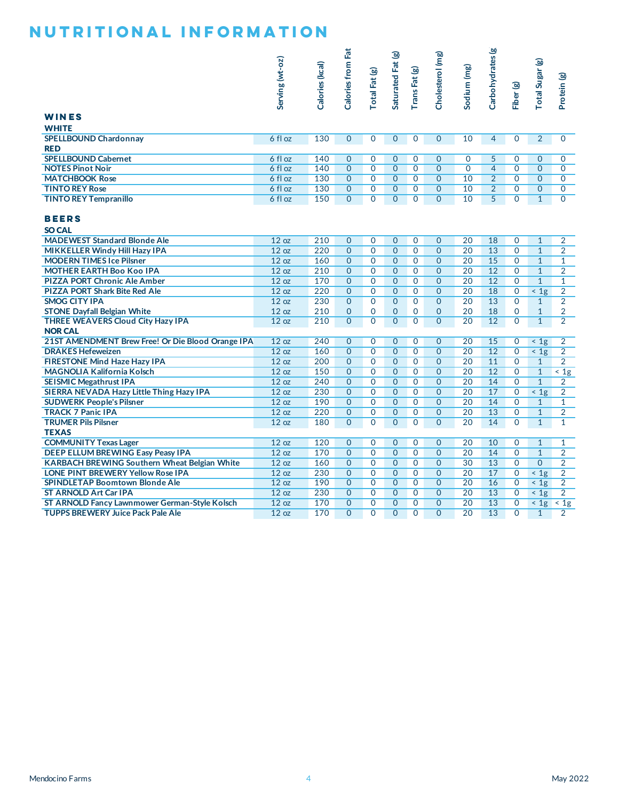|                                                                                           | Serving (wt-oz)    | Calories (kcal) | Calories from Fat            | Total Fat (g)                | Saturated Fat (g)                | TransFat (g)                     | Cholesterol (mg)                 | Sodium (mg)    | Carbohydrates (g)                | Fiber (g)                    | Total Sugar (g)                           | Protein (g)                      |
|-------------------------------------------------------------------------------------------|--------------------|-----------------|------------------------------|------------------------------|----------------------------------|----------------------------------|----------------------------------|----------------|----------------------------------|------------------------------|-------------------------------------------|----------------------------------|
| <b>WINES</b>                                                                              |                    |                 |                              |                              |                                  |                                  |                                  |                |                                  |                              |                                           |                                  |
| <b>WHITE</b><br><b>SPELLBOUND Chardonnay</b><br><b>RED</b>                                | 6 fl oz            | 130             | $\mathbf{0}$                 | $\mathbf 0$                  | $\mathbf{0}$                     | 0                                | $\mathbf{0}$                     | 10             | $\overline{4}$                   | 0                            | $\overline{2}$                            | $\mathbf{0}$                     |
| <b>SPELLBOUND Cabernet</b>                                                                | 6 fl oz            | 140             | $\overline{0}$               | 0                            | $\overline{0}$                   | $\mathbf{0}$                     | $\overline{0}$                   | $\mathbf 0$    | 5                                | $\mathbf{O}$                 | $\mathbf{0}$                              | $\mathbf{O}$                     |
| <b>NOTES Pinot Noir</b>                                                                   | 6 fl oz            | 140             | $\overline{0}$               | $\overline{0}$               | $\overline{0}$                   | $\overline{0}$                   | $\overline{0}$                   | $\overline{0}$ | $\overline{4}$                   | $\mathbf{O}$                 | $\overline{0}$                            | $\overline{0}$                   |
| <b>MATCHBOOK Rose</b><br><b>TINTO REY Rose</b>                                            | 6 fl oz<br>6 fl oz | 130<br>130      | $\mathbf{O}$<br>$\mathbf{0}$ | $\mathbf{O}$<br>$\mathbf{O}$ | $\overline{0}$<br>$\overline{0}$ | $\overline{0}$<br>$\overline{0}$ | $\overline{0}$<br>$\overline{0}$ | 10<br>10       | $\overline{2}$<br>$\overline{2}$ | $\mathbf{O}$<br>$\mathbf 0$  | $\mathbf{0}$                              | $\mathbf{O}$<br>$\mathbf{O}$     |
| <b>TINTO REY Tempranillo</b>                                                              | 6 fl oz            | 150             | $\mathbf{0}$                 | $\mathbf{O}$                 | $\overline{0}$                   | $\overline{0}$                   | $\overline{0}$                   | 10             | 5                                | $\mathbf{O}$                 | $\mathbf{0}$<br>$\mathbf{1}$              | $\overline{0}$                   |
| <b>BEERS</b><br><b>SO CAL</b>                                                             |                    |                 |                              |                              |                                  |                                  |                                  |                |                                  |                              |                                           |                                  |
| <b>MADEWEST Standard Blonde Ale</b>                                                       | 12 oz              | 210             | $\mathbf{O}$                 | $\mathbf 0$                  | $\overline{0}$                   | $\mathbf 0$                      | $\mathbf{0}$                     | 20             | 18                               | 0                            | $\mathbf{1}$                              | $\overline{2}$                   |
| MIKKELLER Windy Hill Hazy IPA                                                             | 12 oz              | 220             | $\overline{0}$               | $\mathbf{O}$                 | $\overline{0}$                   | $\overline{0}$                   | $\overline{0}$                   | 20             | 13                               | $\overline{0}$               | $\mathbf{1}$                              | $\overline{2}$                   |
| <b>MODERN TIMES Ice Pilsner</b>                                                           | 12 oz              | 160             | $\mathbf{0}$                 | $\mathbf 0$                  | $\overline{0}$                   | $\mathbf 0$                      | $\mathbf 0$                      | 20             | 15                               | $\mathbf{O}$                 | $\mathbf{1}$                              | $\mathbf{1}$                     |
| <b>MOTHER EARTH Boo Koo IPA</b>                                                           | 12 oz              | 210             | $\mathbf{O}$                 | $\mathbf{O}$                 | $\overline{O}$                   | $\mathbf 0$                      | $\mathbf{0}$                     | 20             | 12                               | $\mathbf{O}$                 | $\mathbf{1}$                              | $\overline{2}$                   |
| <b>PIZZA PORT Chronic Ale Amber</b>                                                       | 12 oz              | 170             | $\mathbf{0}$                 | $\mathbf{O}$                 | $\overline{0}$                   | $\mathbf{O}$                     | $\mathbf{0}$                     | 20             | 12                               | $\mathbf{O}$                 | $\overline{1}$                            | $\mathbf{1}$                     |
| <b>PIZZA PORT Shark Bite Red Ale</b>                                                      | 12 oz              | 220             | $\mathbf{O}$                 | $\mathbf{O}$                 | $\overline{0}$                   | $\mathbf{0}$                     | $\mathbf 0$                      | 20             | 18                               | $\mathbf 0$                  | < 1g                                      | $\overline{2}$                   |
| <b>SMOG CITY IPA</b>                                                                      | 12 oz              | 230             | $\mathbf{O}$                 | $\Omega$                     | $\Omega$                         | $\Omega$                         | $\overline{0}$                   | 20             | 13                               | $\Omega$                     | $\mathbf{1}$                              | $\overline{2}$                   |
| <b>STONE Dayfall Belgian White</b><br><b>THREE WEAVERS Cloud City Hazy IPA</b>            | 12 oz<br>12 oz     | 210<br>210      | $\mathbf{0}$<br>$\mathbf{O}$ | $\mathbf{O}$<br>$\mathbf{O}$ | $\overline{0}$<br>$\overline{0}$ | $\mathbf{O}$<br>$\mathbf 0$      | $\mathbf{O}$<br>$\overline{0}$   | 20<br>20       | 18<br>12                         | $\mathbf{O}$<br>$\mathbf{O}$ | $\mathbf{1}$<br>$\mathbf{1}$              | $\overline{2}$<br>$\overline{2}$ |
| <b>NOR CAL</b>                                                                            |                    |                 |                              |                              |                                  |                                  |                                  |                |                                  |                              |                                           |                                  |
| 21ST AMENDMENT Brew Free! Or Die Blood Orange IPA                                         | 12 oz              | 240             | $\mathbf{0}$                 | $\mathbf{O}$                 | $\overline{0}$                   | $\mathbf 0$                      | $\mathbf{O}$                     | 20             | 15                               | 0                            | $\leq 1g$                                 | $\overline{2}$                   |
| <b>DRAKES Hefeweizen</b>                                                                  | 12 oz              | 160             | $\mathbf{O}$                 | $\mathbf{O}$                 | $\overline{0}$                   | $\mathbf{O}$                     | $\mathbf 0$                      | 20             | 12                               | $\mathbf 0$                  | < 1g                                      | $\overline{2}$                   |
| FIRESTONE Mind Haze Hazy IPA                                                              | 12 oz              | 200<br>150      | $\mathbf{O}$                 | $\mathbf{O}$                 | $\overline{0}$                   | $\mathbf{0}$                     | $\overline{0}$                   | 20             | 11                               | $\mathbf{O}$                 | $\mathbf{1}$                              | $\overline{2}$                   |
| <b>MAGNOLIA Kalifornia Kolsch</b><br><b>SEISMIC Megathrust IPA</b>                        | 12 oz<br>12 oz     | 240             | $\mathbf{0}$<br>$\mathbf{O}$ | $\mathbf{O}$<br>$\mathbf{O}$ | $\overline{0}$<br>$\overline{0}$ | $\mathbf{O}$<br>$\mathbf 0$      | $\mathbf{0}$<br>$\mathbf 0$      | 20<br>20       | 12<br>14                         | $\mathbf{O}$<br>$\mathbf{O}$ | $\mathbf{1}$<br>$\mathbf{1}$              | $\overline{5}$<br>$\overline{2}$ |
| SIERRA NEVADA Hazy Little Thing Hazy IPA                                                  | 12 oz              | 230             | $\mathbf{O}$                 | $\mathbf{O}$                 | $\overline{O}$                   | $\mathbf{0}$                     | $\mathbf{0}$                     | 20             | 17                               | $\mathbf{O}$                 | $\overline{1}$                            | $\overline{2}$                   |
| <b>SUDWERK People's Pilsner</b>                                                           | 12 oz              | 190             | $\mathbf{0}$                 | $\mathbf{O}$                 | $\overline{0}$                   | $\mathbf{O}$                     | $\mathbf{0}$                     | 20             | 14                               | $\mathbf{O}$                 | $\mathbf{1}$                              | $\mathbf{1}$                     |
| <b>TRACK 7 Panic IPA</b>                                                                  | 12 oz              | 220             | $\mathbf{O}$                 | $\mathbf 0$                  | $\mathbf{O}$                     | $\mathbf 0$                      | $\mathbf 0$                      | 20             | 13                               | $\mathbf{O}$                 | $\mathbf{1}$                              | $\overline{2}$                   |
| <b>TRUMER Pils Pilsner</b><br><b>TEXAS</b>                                                | 12 oz              | 180             | $\overline{0}$               | 0                            | $\overline{O}$                   | $\mathbf{O}$                     | $\overline{0}$                   | 20             | 14                               | $\mathbf{O}$                 | $\mathbf{1}$                              | $\mathbf{1}$                     |
| <b>COMMUNITY Texas Lager</b>                                                              | 12 oz              | 120             | $\mathbf{O}$                 | $\mathbf 0$                  | $\overline{0}$                   | 0                                | $\mathbf 0$                      | 20             | 10                               | $\mathbf 0$                  | $\mathbf{1}$                              | $\mathbf{1}$                     |
| <b>DEEP ELLUM BREWING Easy Peasy IPA</b>                                                  | 12 oz              | 170             | $\mathbf{O}$                 | $\mathbf{O}$                 | $\overline{O}$                   | $\overline{0}$                   | $\mathbf{0}$                     | 20             | 14                               | $\mathbf{O}$                 | $\mathbf{1}$                              | $\overline{2}$                   |
| <b>KARBACH BREWING Southern Wheat Belgian White</b>                                       | 12 oz              | 160             | $\mathbf{0}$                 | $\mathbf{O}$                 | $\overline{0}$                   | $\mathbf{O}$                     | $\mathbf{0}$                     | 30             | 13                               | $\mathbf{O}$                 | $\overline{0}$                            | $\overline{2}$                   |
| <b>LONE PINT BREWERY Yellow Rose IPA</b>                                                  | 12 oz              | 230             | $\mathbf{0}$                 | $\mathbf{O}$                 | $\overline{0}$                   | $\mathbf{0}$                     | $\overline{0}$                   | 20             | 17                               | 0                            | $\leq 1g$                                 | $\overline{2}$                   |
| <b>SPINDLETAP Boomtown Blonde Ale</b>                                                     | 12 oz              | 190             | $\mathbf{O}$                 | $\Omega$                     | $\overline{0}$                   | $\mathbf{O}$                     | $\mathbf{0}$                     | 20             | 16                               | $\mathbf{O}$                 | $\frac{1}{2}$                             | $\overline{2}$                   |
| <b>ST ARNOLD Art Car IPA</b>                                                              | 12 oz              | 230             | $\overline{0}$               | $\Omega$                     | $\overline{0}$                   | $\mathbf{O}$                     | $\overline{0}$                   | 20             | 13                               | $\mathbf{O}$                 | < 1g                                      | $\overline{2}$                   |
| ST ARNOLD Fancy Lawnmower German-Style Kolsch<br><b>TUPPS BREWERY Juice Pack Pale Ale</b> | 12 oz<br>12 oz     | 170<br>170      | $\mathbf{0}$<br>$\mathbf 0$  | 0<br>$\mathbf 0$             | $\overline{0}$                   | 0<br>$\Omega$                    | $\mathbf{0}$<br>$\mathbf{0}$     | 20<br>20       | 13<br>13                         | 0<br>0                       | $\langle 1g \rangle$ < 1g<br>$\mathbf{1}$ | 2                                |
|                                                                                           |                    |                 |                              |                              |                                  |                                  |                                  |                |                                  |                              |                                           |                                  |
| Mendocino Farms                                                                           |                    | 4               |                              |                              |                                  |                                  |                                  |                |                                  |                              |                                           | May 2022                         |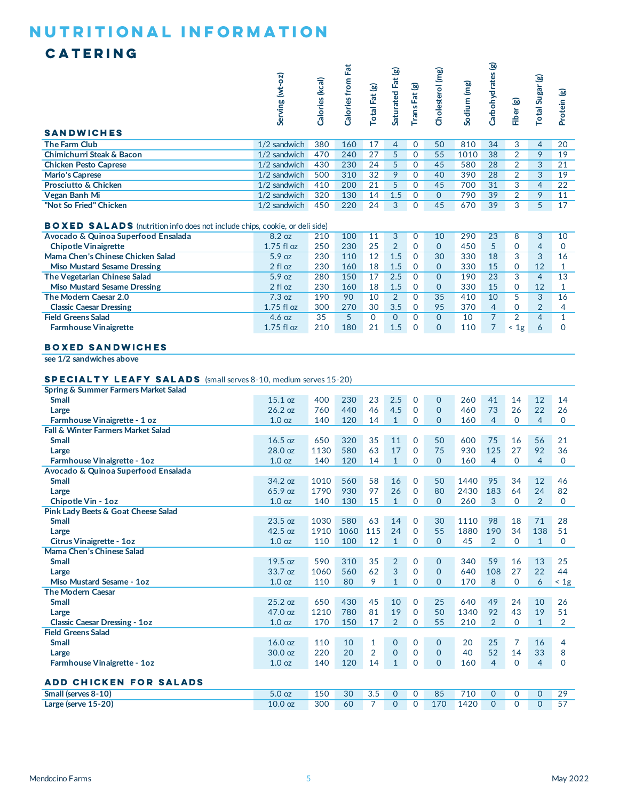### **CATERING**

| <b>SANDWICHES</b>                                                                                                            | $\overline{0}$<br>Serving (wt- | Calories (kcal) | <b>ZE</b><br>from<br>Calories | otal Fat (g)  | ම<br>Saturated Fat | rans Fat (g) | Cholesterol (mg) | Sodium (mg) | ক্ত<br>arbohydrates | Fiber (g) | otal Sugar (g) | ම<br>Protein |
|------------------------------------------------------------------------------------------------------------------------------|--------------------------------|-----------------|-------------------------------|---------------|--------------------|--------------|------------------|-------------|---------------------|-----------|----------------|--------------|
| <b>The Farm Club</b>                                                                                                         | 1/2 sandwich                   | 380             | 160                           | 17            | 4                  | $\Omega$     | 50               | 810         | 34                  | 3         | 4              | 20           |
| Chimichurri Steak & Bacon                                                                                                    | $1/2$ sandwich                 | 470             | 240                           | 27            | 5                  | $\Omega$     | 55               | 1010        | 38                  | 2         | 9              | 19           |
| <b>Chicken Pesto Caprese</b>                                                                                                 | 1/2 sandwich                   | 430             | 230                           | 24            | 5                  | $\Omega$     | 45               | 580         | 28                  | 2         | 3              | 21           |
| <b>Mario's Caprese</b>                                                                                                       | $1/2$ sandwich                 | 500             | 310                           | 32            | 9                  | 0            | 40               | 390         | 28                  | 2         | 3              | 19           |
| <b>Prosciutto &amp; Chicken</b>                                                                                              | 1/2 sandwich                   | 410             | 200                           | 21            | 5                  | $\Omega$     | 45               | 700         | 31                  | 3         | 4              | 22           |
| Vegan Banh Mi                                                                                                                | 1/2 sandwich                   | 320             | 130                           | 14            | 1.5                | $\Omega$     | $\Omega$         | 790         | 39                  | 2         | 9              | 11           |
| "Not So Fried" Chicken                                                                                                       | 1/2 sandwich                   | 450             | 220                           | 24            | 3                  | $\Omega$     | 45               | 670         | 39                  | 3         | 5              | 17           |
| <b>BOXED SALADS</b> (nutrition info does not include chips, cookie, or deli side)                                            |                                |                 |                               |               |                    |              |                  |             |                     |           |                |              |
| Avocado & Quinoa Superfood Ensalada                                                                                          | 8.2 oz                         | 210             | 100                           | 11            | 3                  | $\Omega$     | 10               | 290         | 23                  | 8         | 3              | 10           |
| <b>Chipotle Vinaigrette</b>                                                                                                  | $1.75$ fl oz                   | 250             | 230                           | 25            | $\overline{2}$     | $\mathbf 0$  | $\Omega$         | 450         | 5                   | $\Omega$  | 4              | $\Omega$     |
| Mama Chen's Chinese Chicken Salad                                                                                            | 5.9 oz                         | 230             | 110                           | 12            | 1.5                | $\Omega$     | 30               | 330         | 18                  | 3         | 3              | 16           |
| <b>Miso Mustard Sesame Dressing</b>                                                                                          | 2 fl oz                        | 230             | 160                           | 18            | 1.5                | $\Omega$     | $\Omega$         | 330         | 15                  | $\Omega$  | 12             |              |
| — <u>1920 - 1920 - 1920 - 1920 - 1920 - 1920 - 1920 - 1920 - 1920 - 1920 - 1920 - 1920 - 1920 - 1920 - 1920 - 19</u><br>$-1$ | $ \sim$                        | 0.00            | $4 - 0$                       | $\rightarrow$ | $\sim$ $\sim$      | $\sim$       | $\sim$           | $\sim$      | $\sim$              | $\sim$    |                | $\sim$       |

| Mama Chen's Chinese Chicken Salad | 5.9 oz           | 230 | 110 | 12 | 1.5 |          | 30       | 330 | 18 |            |    | 16 |
|-----------------------------------|------------------|-----|-----|----|-----|----------|----------|-----|----|------------|----|----|
| Miso Mustard Sesame Dressing      | 2 fl oz          | 230 | 160 | 18 | 1.5 |          | $\Omega$ | 330 | 15 |            | 12 |    |
| The Vegetarian Chinese Salad      | 5.9 oz           | 280 | 150 |    | 2.5 |          | 0        | 190 | 23 |            |    | 13 |
| Miso Mustard Sesame Dressing      | 2 fl oz          | 230 | 160 | 18 | 1.5 |          | $\Omega$ | 330 | 15 |            | 12 |    |
| The Modern Caesar 2.0             | 7.3 oz           | 190 | 90  | 10 |     |          | 35       | 410 | 10 |            |    | 16 |
| <b>Classic Caesar Dressing</b>    | $1.75$ fl oz     | 300 | 270 | 30 | 3.5 | $\Omega$ | 95       | 370 | 4  |            |    |    |
| <b>Field Greens Salad</b>         | $4.6 \text{ oz}$ | 35  |     |    |     |          |          | 10  |    |            |    |    |
| <b>Farmhouse Vinaigrette</b>      | $1.75$ fl oz     | 210 | 180 | 21 | 1.5 |          | $\Omega$ | 110 |    | $\leq 1$ g |    |    |
|                                   |                  |     |     |    |     |          |          |     |    |            |    |    |

#### **BOXED sandwiches**

**see 1/2 sandwiches above**

#### **Specialty Leafy Salads** (small serves 8-10, medium serves 15-20)

| $\blacksquare$                       |                   |      |      |                |                |                |          |      |                |                |                |                 |
|--------------------------------------|-------------------|------|------|----------------|----------------|----------------|----------|------|----------------|----------------|----------------|-----------------|
| Spring & Summer Farmers Market Salad |                   |      |      |                |                |                |          |      |                |                |                |                 |
| <b>Small</b>                         | 15.1 oz           | 400  | 230  | 23             | 2.5            | $\mathbf{0}$   | $\Omega$ | 260  | 41             | 14             | 12             | 14              |
| Large                                | 26.2 oz           | 760  | 440  | 46             | 4.5            | $\mathbf{0}$   | $\Omega$ | 460  | 73             | 26             | 22             | 26              |
| Farmhouse Vinaigrette - 1 oz         | 1.0 <sub>oz</sub> | 140  | 120  | 14             | $\mathbf{1}$   | $\Omega$       | $\Omega$ | 160  | 4              | $\Omega$       | 4              | $\Omega$        |
| Fall & Winter Farmers Market Salad   |                   |      |      |                |                |                |          |      |                |                |                |                 |
| <b>Small</b>                         | 16.5 oz           | 650  | 320  | 35             | 11             | $\Omega$       | 50       | 600  | 75             | 16             | 56             | 21              |
| Large                                | 28.0 oz           | 1130 | 580  | 63             | 17             | $\mathbf{0}$   | 75       | 930  | 125            | 27             | 92             | 36              |
| Farmhouse Vinaigrette - 1oz          | 1.0 <sub>oz</sub> | 140  | 120  | 14             | $\mathbf{1}$   | $\Omega$       | $\Omega$ | 160  | $\overline{4}$ | $\Omega$       | $\overline{4}$ | $\mathbf{0}$    |
| Avocado & Quinoa Superfood Ensalada  |                   |      |      |                |                |                |          |      |                |                |                |                 |
| <b>Small</b>                         | 34.2 oz           | 1010 | 560  | 58             | 16             | $\mathbf{0}$   | 50       | 1440 | 95             | 34             | 12             | 46              |
| Large                                | 65.9 oz           | 1790 | 930  | 97             | 26             | $\mathbf{0}$   | 80       | 2430 | 183            | 64             | 24             | 82              |
| Chipotle Vin - 1oz                   | 1.0 <sub>oz</sub> | 140  | 130  | 15             | $\mathbf{1}$   | $\mathbf{0}$   | $\Omega$ | 260  | 3              | $\Omega$       | $\overline{2}$ | $\Omega$        |
| Pink Lady Beets & Goat Cheese Salad  |                   |      |      |                |                |                |          |      |                |                |                |                 |
| <b>Small</b>                         | 23.5 oz           | 1030 | 580  | 63             | 14             | $\mathbf{0}$   | 30       | 1110 | 98             | 18             | 71             | 28              |
| Large                                | $42.5$ oz         | 1910 | 1060 | 115            | 24             | $\mathbf{0}$   | 55       | 1880 | 190            | 34             | 138            | 51              |
| Citrus Vinaigrette - 1oz             | 1.0 <sub>oz</sub> | 110  | 100  | 12             | $\mathbf{1}$   | $\Omega$       | $\Omega$ | 45   | $\overline{2}$ | $\Omega$       | $\mathbf{1}$   | $\Omega$        |
| Mama Chen's Chinese Salad            |                   |      |      |                |                |                |          |      |                |                |                |                 |
| <b>Small</b>                         | 19.5 oz           | 590  | 310  | 35             | $\overline{2}$ | $\Omega$       | $\Omega$ | 340  | 59             | 16             | 13             | 25              |
| Large                                | 33.7 oz           | 1060 | 560  | 62             | 3              | $\Omega$       | $\Omega$ | 640  | 108            | 27             | 22             | 44              |
| Miso Mustard Sesame - 1oz            | 1.0 <sub>oz</sub> | 110  | 80   | 9              | $\mathbf{1}$   | $\overline{0}$ | $\Omega$ | 170  | 8              | $\mathbf 0$    | 6              | $\leq 1g$       |
| <b>The Modern Caesar</b>             |                   |      |      |                |                |                |          |      |                |                |                |                 |
| <b>Small</b>                         | 25.2 oz           | 650  | 430  | 45             | 10             | $\mathbf{0}$   | 25       | 640  | 49             | 24             | 10             | 26              |
| Large                                | 47.0 oz           | 1210 | 780  | 81             | 19             | $\mathbf{0}$   | 50       | 1340 | 92             | 43             | 19             | 51              |
| <b>Classic Caesar Dressing - 1oz</b> | 1.0 <sub>oz</sub> | 170  | 150  | 17             | $\overline{2}$ | $\Omega$       | 55       | 210  | $\mathcal{P}$  | $\Omega$       | $\mathbf{1}$   | $\overline{2}$  |
| <b>Field Greens Salad</b>            |                   |      |      |                |                |                |          |      |                |                |                |                 |
| <b>Small</b>                         | $16.0$ oz         | 110  | 10   | $\mathbf{1}$   | $\mathbf{0}$   | $\overline{0}$ | $\Omega$ | 20   | 25             | $\overline{7}$ | 16             | 4               |
| Large                                | $30.0$ oz         | 220  | 20   | $\overline{2}$ | $\mathbf{O}$   | $\mathbf{0}$   | $\Omega$ | 40   | 52             | 14             | 33             | 8               |
| Farmhouse Vinaigrette - 1oz          | 1.0 <sub>oz</sub> | 140  | 120  | 14             | $\mathbf{1}$   | $\overline{0}$ | $\Omega$ | 160  | 4              | $\Omega$       | $\overline{4}$ | $\Omega$        |
|                                      |                   |      |      |                |                |                |          |      |                |                |                |                 |
| <b>ADD CHICKEN FOR SALADS</b>        |                   |      |      |                |                |                |          |      |                |                |                |                 |
| Small (serves 8-10)                  | 5.0 <sub>oz</sub> | 150  | 30   | 3.5            | $\mathbf{O}$   | $\mathbf{0}$   | 85       | 710  | $\mathbf{O}$   | $\mathbf 0$    | $\mathbf{O}$   | 29              |
| Large (serve 15-20)                  | $10.0$ oz         | 300  | 60   | $\overline{7}$ | $\Omega$       | $\Omega$       | 170      | 1420 | $\Omega$       | $\Omega$       | $\Omega$       | $\overline{57}$ |